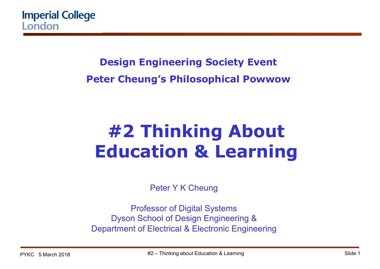### **Design Engineering Society Event Peter Cheung's Philosophical Powwow**

# **#2 Thinking About Education & Learning**

Peter Y K Cheung

Professor of Digital Systems Dyson School of Design Engineering & Department of Electrical & Electronic Engineering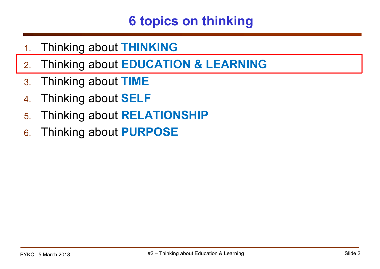## **6 topics on thinking**

- 1. Thinking about **THINKING**
- 2. Thinking about **EDUCATION & LEARNING**
- 3. Thinking about **TIME**
- 4. Thinking about **SELF**
- 5. Thinking about **RELATIONSHIP**
- 6. Thinking about **PURPOSE**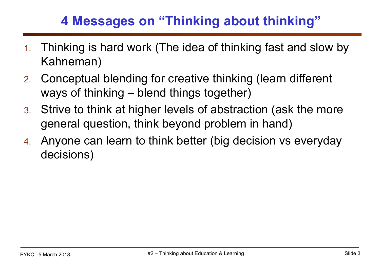## **4 Messages on "Thinking about thinking"**

- 1. Thinking is hard work (The idea of thinking fast and slow by Kahneman)
- 2. Conceptual blending for creative thinking (learn different ways of thinking – blend things together)
- 3. Strive to think at higher levels of abstraction (ask the more general question, think beyond problem in hand)
- 4. Anyone can learn to think better (big decision vs everyday decisions)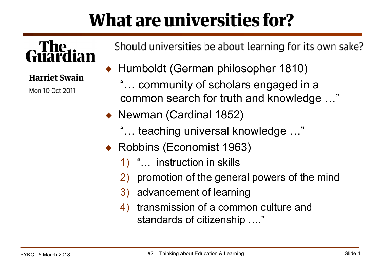# **What are universities for?**

# The

#### **Harriet Swain**

Mon 10 Oct 2011

Should universities be about learning for its own sake?

- ◆ Humboldt (German philosopher 1810)
	- "… community of scholars engaged in a common search for truth and knowledge …"
- ◆ Newman (Cardinal 1852)
	- "… teaching universal knowledge …"
- ◆ Robbins (Economist 1963)
	- 1) "… instruction in skills
	- 2) promotion of the general powers of the mind
	- 3) advancement of learning
	- 4) transmission of a common culture and standards of citizenship …."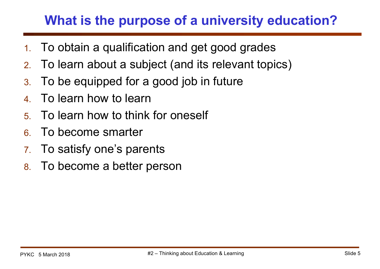## **What is the purpose of a university education?**

- 1. To obtain a qualification and get good grades
- 2. To learn about a subject (and its relevant topics)
- 3. To be equipped for a good job in future
- 4. To learn how to learn
- 5. To learn how to think for oneself
- 6. To become smarter
- 7. To satisfy one's parents
- 8. To become a better person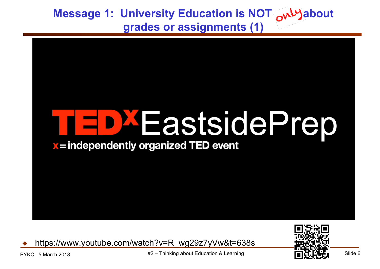**Message 1: University Education is NOT Avly about grades or assignments (1)**



https://www.youtube.com/watch?v=R\_wg29z7yVw&t=638s



PYKC 5 March 2018  $#2 -$  Thinking about Education & Learning  $\blacksquare$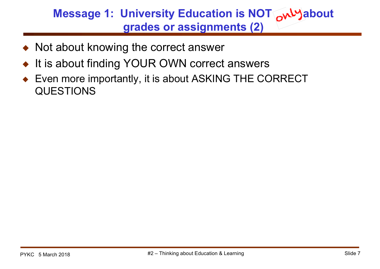#### **Message 1: University Education is NOT Avly about grades or assignments (2)**

- Not about knowing the correct answer
- It is about finding YOUR OWN correct answers
- Even more importantly, it is about ASKING THE CORRECT QUESTIONS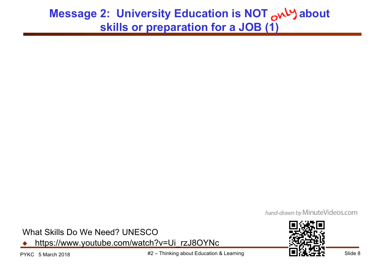#### **Message 2: University Education is NOT analy about skills or preparation for a JOB (1)**

hand-drawn by Minute Videos.com

What Skills Do We Need? UNESCO

https://www.youtube.com/watch?v=Ui\_rzJ8OYNc

PYKC 5 March 2018 **1990 12 Example 10** about Education & Learning **Fig. 10 and Slide 8** Slide 8

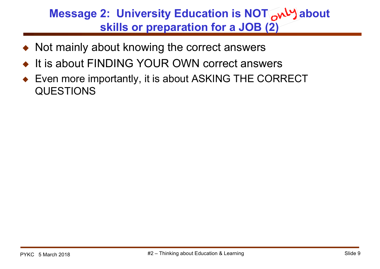#### **Message 2: University Education is NOT AWY about skills or preparation for a JOB (2)**

- Not mainly about knowing the correct answers
- It is about FINDING YOUR OWN correct answers
- Even more importantly, it is about ASKING THE CORRECT QUESTIONS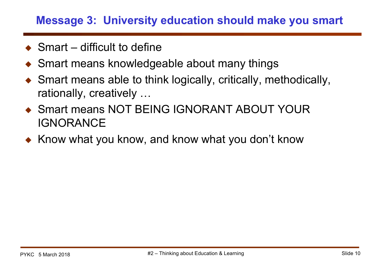#### **Message 3: University education should make you smart**

- $\triangle$  Smart difficult to define
- ◆ Smart means knowledgeable about many things
- ◆ Smart means able to think logically, critically, methodically, rationally, creatively …
- ◆ Smart means NOT BEING IGNORANT ABOUT YOUR IGNORANCE
- ◆ Know what you know, and know what you don't know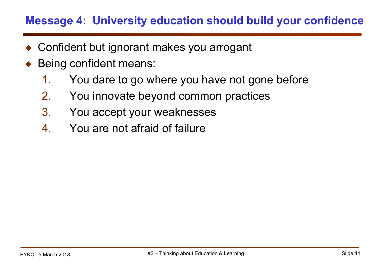#### **Message 4: University education should build your confidence**

- ◆ Confident but ignorant makes you arrogant
- Being confident means:
	- 1. You dare to go where you have not gone before
	- 2. You innovate beyond common practices
	- 3. You accept your weaknesses
	- 4. You are not afraid of failure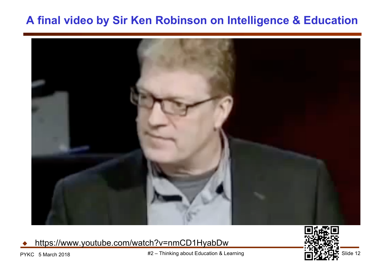#### **A final video by Sir Ken Robinson on Intelligence & Education**



https://www.youtube.com/watch?v=nmCD1HyabDw



PYKC 5 March 2018  $#2 -$  Thinking about Education & Learning  $\overrightarrow{r}$  and  $\overrightarrow{r}$  Slide 12